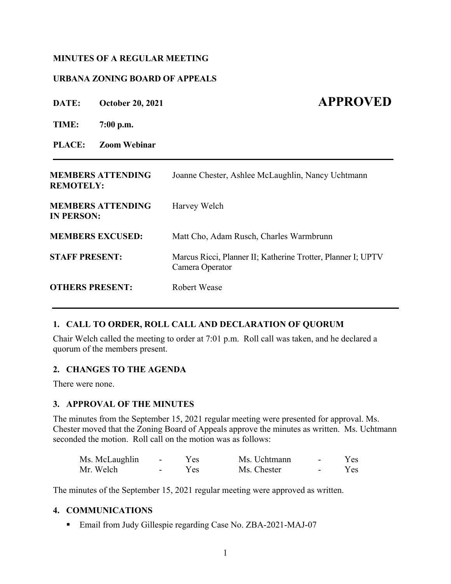# **MINUTES OF A REGULAR MEETING**

# **URBANA ZONING BOARD OF APPEALS**

| DATE:                  | <b>October 20, 2021</b>  | <b>APPROVED</b>                                                                 |
|------------------------|--------------------------|---------------------------------------------------------------------------------|
| TIME:                  | $7:00$ p.m.              |                                                                                 |
| <b>PLACE:</b>          | <b>Zoom Webinar</b>      |                                                                                 |
| <b>REMOTELY:</b>       | <b>MEMBERS ATTENDING</b> | Joanne Chester, Ashlee McLaughlin, Nancy Uchtmann                               |
| <b>IN PERSON:</b>      | <b>MEMBERS ATTENDING</b> | Harvey Welch                                                                    |
|                        | <b>MEMBERS EXCUSED:</b>  | Matt Cho, Adam Rusch, Charles Warmbrunn                                         |
| <b>STAFF PRESENT:</b>  |                          | Marcus Ricci, Planner II; Katherine Trotter, Planner I; UPTV<br>Camera Operator |
| <b>OTHERS PRESENT:</b> |                          | <b>Robert Wease</b>                                                             |

# **1. CALL TO ORDER, ROLL CALL AND DECLARATION OF QUORUM**

Chair Welch called the meeting to order at 7:01 p.m. Roll call was taken, and he declared a quorum of the members present.

#### **2. CHANGES TO THE AGENDA**

There were none.

# **3. APPROVAL OF THE MINUTES**

The minutes from the September 15, 2021 regular meeting were presented for approval. Ms. Chester moved that the Zoning Board of Appeals approve the minutes as written. Ms. Uchtmann seconded the motion. Roll call on the motion was as follows:

| Ms. McLaughlin | $\sim$ $-$ | Y es | Ms. Uchtmann | $\sim$ | Yes: |
|----------------|------------|------|--------------|--------|------|
| Mr. Welch      | $\sim$     | Yes  | Ms. Chester  | $\sim$ | Yes- |

The minutes of the September 15, 2021 regular meeting were approved as written.

#### **4. COMMUNICATIONS**

■ Email from Judy Gillespie regarding Case No. ZBA-2021-MAJ-07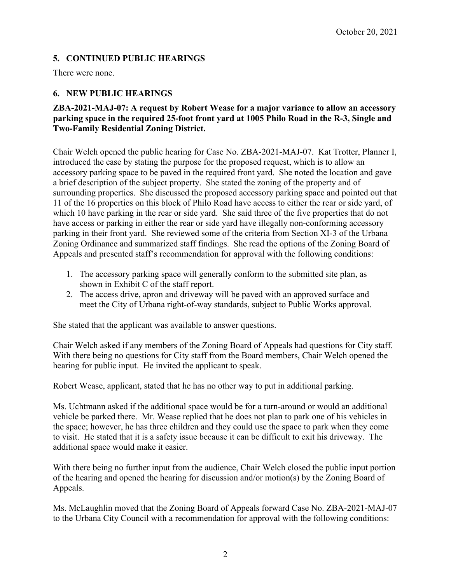# **5. CONTINUED PUBLIC HEARINGS**

There were none.

# **6. NEW PUBLIC HEARINGS**

# **ZBA-2021-MAJ-07: A request by Robert Wease for a major variance to allow an accessory parking space in the required 25-foot front yard at 1005 Philo Road in the R-3, Single and Two-Family Residential Zoning District.**

Chair Welch opened the public hearing for Case No. ZBA-2021-MAJ-07. Kat Trotter, Planner I, introduced the case by stating the purpose for the proposed request, which is to allow an accessory parking space to be paved in the required front yard. She noted the location and gave a brief description of the subject property. She stated the zoning of the property and of surrounding properties. She discussed the proposed accessory parking space and pointed out that 11 of the 16 properties on this block of Philo Road have access to either the rear or side yard, of which 10 have parking in the rear or side yard. She said three of the five properties that do not have access or parking in either the rear or side yard have illegally non-conforming accessory parking in their front yard. She reviewed some of the criteria from Section XI-3 of the Urbana Zoning Ordinance and summarized staff findings. She read the options of the Zoning Board of Appeals and presented staff's recommendation for approval with the following conditions:

- 1. The accessory parking space will generally conform to the submitted site plan, as shown in Exhibit C of the staff report.
- 2. The access drive, apron and driveway will be paved with an approved surface and meet the City of Urbana right-of-way standards, subject to Public Works approval.

She stated that the applicant was available to answer questions.

Chair Welch asked if any members of the Zoning Board of Appeals had questions for City staff. With there being no questions for City staff from the Board members, Chair Welch opened the hearing for public input. He invited the applicant to speak.

Robert Wease, applicant, stated that he has no other way to put in additional parking.

Ms. Uchtmann asked if the additional space would be for a turn-around or would an additional vehicle be parked there. Mr. Wease replied that he does not plan to park one of his vehicles in the space; however, he has three children and they could use the space to park when they come to visit. He stated that it is a safety issue because it can be difficult to exit his driveway. The additional space would make it easier.

With there being no further input from the audience, Chair Welch closed the public input portion of the hearing and opened the hearing for discussion and/or motion(s) by the Zoning Board of Appeals.

Ms. McLaughlin moved that the Zoning Board of Appeals forward Case No. ZBA-2021-MAJ-07 to the Urbana City Council with a recommendation for approval with the following conditions: